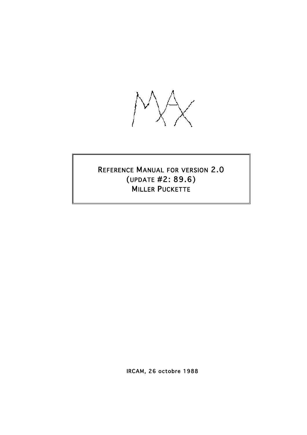

# REFERENCE MANUAL FOR VERSION 2.0 (UPDATE #2: 89.6) MILLER PUCKETTE

IRCAM, 26 octobre 1988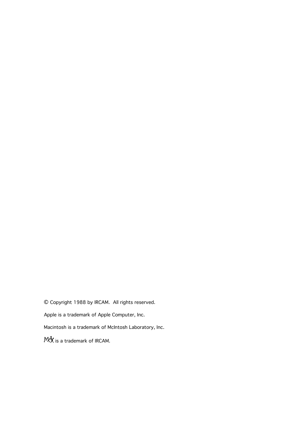© Copyright 1988 by IRCAM. All rights reserved. Apple is a trademark of Apple Computer, Inc. Macintosh is a trademark of McIntosh Laboratory, Inc.  $M_{\rm X}^4$  is a trademark of IRCAM.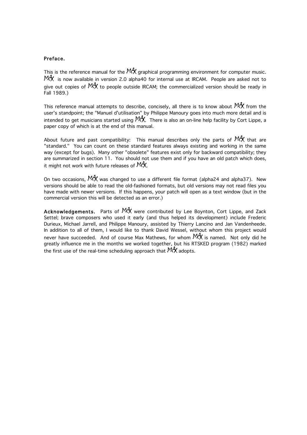### Preface.

This is the reference manual for the  $\frac{h+1}{2}$  graphical programming environment for computer music. MA, is now available in version 2.0 alpha40 for internal use at IRCAM. People are asked not to give out copies of  $M<sup>4</sup>$  to people outside IRCAM; the commercialized version should be ready in Fall 1989.)

This reference manual attempts to describe, concisely, all there is to know about  $\mathbb{M}^4$  from the user's standpoint; the "Manuel d'utilisation" by Philippe Manoury goes into much more detail and is intended to get musicians started using  $127$ . There is also an on-line help facility by Cort Lippe, a paper copy of which is at the end of this manual.

About future and past compatibility: This manual describes only the parts of  $M_X^4$  that are "standard." You can count on these standard features always existing and working in the same way (except for bugs). Many other "obsolete" features exist only for backward compatibility; they are summarized in section 11. You should not use them and if you have an old patch which does, it might not work with future releases of  $\frac{M}{N}$ .

On two occasions,  $M<sup>4</sup>$  was changed to use a different file format (alpha24 and alpha37). New versions should be able to read the old-fashioned formats, but old versions may not read files you have made with newer versions. If this happens, your patch will open as a text window (but in the commercial version this will be detected as an error.)

Acknowledgements. Parts of M4, were contributed by Lee Boynton, Cort Lippe, and Zack Settel; brave composers who used it early (and thus helped its development) include Frederic Durieux, Michael Jarrell, and Philippe Manoury, assisted by Thierry Lancino and Jan Vandenheede. In addition to all of them, I would like to thank David Wessel, without whom this project would never have succeeded. And of course Max Mathews, for whom  $\frac{M}{N}$  is named. Not only did he greatly influence me in the months we worked together, but his RTSKED program (1982) marked the first use of the real-time scheduling approach that  $M_A^4$  adopts.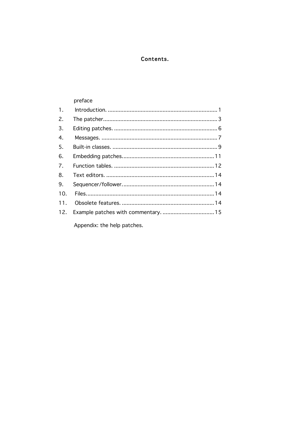## Contents.

#### preface 1.  $2.$  $3.$  $4.$ 5. 6.  $\overline{7}$ . 8. 9.  $10.$  $11.$ Example patches with commentary. .................................. 15  $12.$ Appendix: the help patches.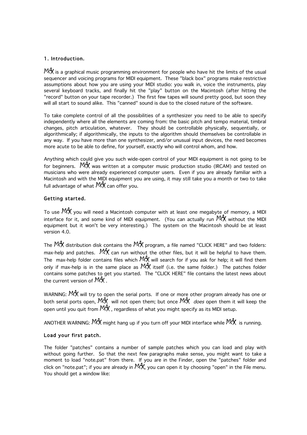## 1. Introduction.

 $M^4$  is a graphical music programming environment for people who have hit the limits of the usual sequencer and voicing programs for MIDI equipment. These "black box" programs make restrictive assumptions about how you are using your MIDI studio: you walk in, voice the instruments, play several keyboard tracks, and finally hit the "play" button on the Macintosh (after hitting the "record" button on your tape recorder.) The first few tapes will sound pretty good, but soon they will all start to sound alike. This "canned" sound is due to the closed nature of the software.

To take complete control of all the possibilities of a synthesizer you need to be able to specify independently where all the elements are coming from: the basic pitch and tempo material, timbral changes, pitch articulation, whatever. They should be controllable physically, sequentially, or algorithmically; if algorithmically, the inputs to the algorithm should themselves be controllable in any way. If you have more than one synthesizer, and/or unusual input devices, the need becomes more acute to be able to define, for yourself, exactly who will control whom, and how.

Anything which could give you such wide-open control of your MIDI equipment is not going to be for beginners.  $M_A^4$  was written at a computer music production studio (IRCAM) and tested on musicians who were already experienced computer users. Even if you are already familiar with a Macintosh and with the MIDI equipment you are using, it may still take you a month or two to take full advantage of what  $\mathbb{P}^{4}$  can offer you.

## Getting started.

To use  $M_1^4$  you will need a Macintosh computer with at least one megabyte of memory, a MIDI interface for it, and some kind of MIDI equipment. (You can actually run  $M_1^4$ ) without the MIDI equipment but it won't be very interesting.) The system on the Macintosh should be at least version 4.0.

The  $\frac{M}{A}$  distribution disk contains the  $\frac{M}{A}$  program, a file named "CLICK HERE" and two folders: max-help and patches.  $M_1^4$  can run without the other files, but it will be helpful to have them. The max-help folder contains files which  $\frac{144}{14}$  will search for if you ask for help; it will find them only if max-help is in the same place as  $M+1$  itself (i.e. the same folder.) The patches folder contains some patches to get you started. The "CLICK HERE" file contains the latest news about the current version of  $\mathbb{M}^4$ .

WARNING: MAX will try to open the serial ports. If one or more other program already has one or both serial ports open,  $M_A^d$ , will not open them; but once  $M_A^d$ , *does* open them it will keep the open until you quit from  $\frac{144}{10}$ , regardless of what you might specify as its MIDI setup.

ANOTHER WARNING:  $M_1^4$  might hang up if you turn off your MIDI interface while  $M_1^4$  is running.

## Load your first patch.

The folder "patches" contains a number of sample patches which you can load and play with without going further. So that the next few paragraphs make sense, you might want to take a moment to load "note.pat" from there. If you are in the Finder, open the "patches" folder and click on "note.pat"; if you are already in  $\mathbb{M}^4$ , you can open it by choosing "open" in the File menu. You should get a window like: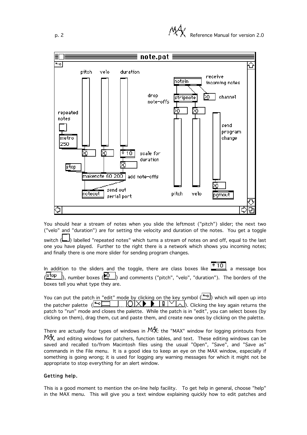

You should hear a stream of notes when you slide the leftmost ("pitch") slider; the next two ("velo" and "duration") are for setting the velocity and duration of the notes. You get a toggle

switch (  $\Box$ ) labelled "repeated notes" which turns a stream of notes on and off, equal to the last one you have played. Further to the right there is a network which shows you incoming notes; and finally there is one more slider for sending program changes.

In addition to the sliders and the toggle, there are class boxes like  $\frac{*}{10}$ , a message box  $(\frac{1 \text{stop}}{n})$ , number boxes  $(\overline{10})$  and comments ("pitch", "velo", "duration"). The borders of the boxes tell you what type they are.

You can put the patch in "edit" mode by clicking on the key symbol  $(\Box)$  which will open up into the patcher palette  $(\blacksquare \square \square \square \square \square \square \square)$ . Clicking the key again returns the patch to "run" mode and closes the palette. While the patch is in "edit", you can select boxes (by clicking on them), drag them, cut and paste them, and create new ones by clicking on the palette.

There are actually four types of windows in  $144$ : the "MAX" window for logging printouts from 144, and editing windows for patchers, function tables, and text. These editing windows can be saved and recalled to/from Macintosh files using the usual "Open", "Save", and "Save as" commands in the File menu. It is a good idea to keep an eye on the MAX window, especially if something is going wrong; it is used for logging any warning messages for which it might not be appropriate to stop everything for an alert window.

## Getting help.

This is a good moment to mention the on-line help facility. To get help in general, choose "help" in the MAX menu. This will give you a text window explaining quickly how to edit patches and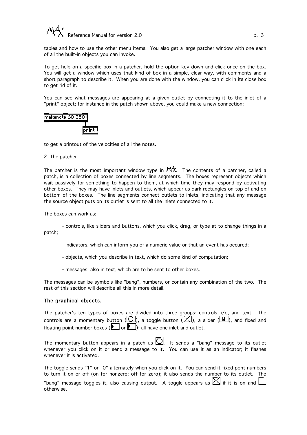

tables and how to use the other menu items. You also get a large patcher window with one each of all the built-in objects you can invoke.

To get help on a specific box in a patcher, hold the option key down and click once on the box. You will get a window which uses that kind of box in a simple, clear way, with comments and a short paragraph to describe it. When you are done with the window, you can click in its close box to get rid of it.

You can see what messages are appearing at a given outlet by connecting it to the inlet of a "print" object; for instance in the patch shown above, you could make a new connection:



to get a printout of the velocities of all the notes.

#### 2. The patcher.

The patcher is the most important window type in  $M^4$ . The contents of a patcher, called a patch, is a collection of boxes connected by line segments. The boxes represent objects which wait passively for something to happen to them, at which time they may respond by activating other boxes. They may have inlets and outlets, which appear as dark rectangles on top of and on bottom of the boxes. The line segments connect outlets to inlets, indicating that any message the source object puts on its outlet is sent to all the inlets connected to it.

The boxes can work as:

- controls, like sliders and buttons, which you click, drag, or type at to change things in a patch;

- indicators, which can inform you of a numeric value or that an event has occured;
- objects, which you describe in text, which do some kind of computation;
- messages, also in text, which are to be sent to other boxes.

The messages can be symbols like "bang", numbers, or contain any combination of the two. The rest of this section will describe all this in more detail.

#### The graphical objects.

The patcher's ten types of boxes are divided into three groups: controls, i/o, and text. The controls are a momentary button  $(\overline{\mathbb{C}})$ , a toggle button  $(\overline{\mathbb{C}})$ , a slider  $(\overline{\mathbb{F}})$ , and fixed and floating point number boxes ( $\Box$  or  $\Box$ ); all have one inlet and outlet.

The momentary button appears in a patch as  $\Omega$ . It sends a "bang" message to its outlet whenever you click on it or send a message to it. You can use it as an indicator; it flashes whenever it is activated.

|           | The toggle sends "1" or "0" alternately when you click on it. You can send it fixed-pont numbers       |
|-----------|--------------------------------------------------------------------------------------------------------|
|           | to turn it on or off (on for nonzero; off for zero); it also sends the number to its outlet. The       |
| Atherwise | "bang" message toggles it, also causing output. A toggle appears as $\boxtimes$ if it is on and $\Box$ |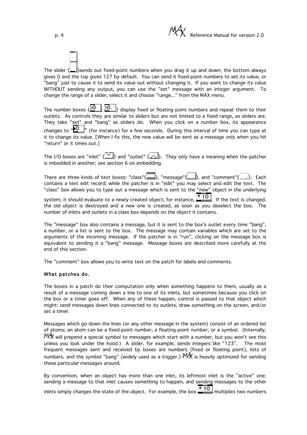p. 4 **Participal in the Contract of Contract Participal in the Contract Participal in the Reference Manual for version 2.0** 

The slider  $(\Box)$ sends out fixed-point numbers when you drag it up and down; the bottom always gives 0 and the top gives 127 by default. You can send it fixed-point numbers to set its value, or "bang" just to cause it to send its value out without changing it. If you want to change its value WITHOUT sending any output, you can use the "set" message with an integer argument. To change the range of a slider, select it and choose "range..." from the MAX menu.

The number boxes  $(\overline{20}, \overline{20})$  display fixed or floating point numbers and repeat them to their outlets. As controls they are similar to sliders but are not limited to a fixed range, as sliders are. They take "set" and "bang" as sliders do. When you click on a number box, its appearance changes to  $\overline{P}$   $\overline{O}$   $\overline{P}$  (for instance) for a few seconds. During this interval of time you can type at it to change its value. [When I fix this, the new value will be sent as a message only when you hit "return" or it times out.]

The I/O boxes are "inlet" ( $\Box$ ) and "outlet" ( $\Box$ ). They only have a meaning when the patcher is imbedded in another; see section 6 on embedding.

There are three kinds of text boxes: "class"( $\Box$ ), "message"( $\Box$ ), and "comment"( $\Box$ ). Each contains a text edit record; while the patcher is in "edit" you may select and edit the text. The "class" box allows you to type out a message which is sent to the "new" object in the underlying system; it should evaluate to a newly created object, for instance,  $\frac{*}{10}$ . If the text is changed, the old object is destroyed and a new one is created, as soon as you deselect the box. The number of inlets and outlets in a class box depends on the object it contains.

The "message" box also contains a message, but it is sent to the box's outlet every time "bang", a number, or a list is sent to the box. The message may contain variables which are set to the arguments of the incoming message. If the patcher is in "run", clicking on the message box is equivalent to sending it a "bang" message. Message boxes are described more carefully at the end of this section.

The "comment" box allows you to write text on the patch for labels and comments.

#### What patches do.

The boxes in a patch do their computation only when something happens to them, usually as a result of a message coming down a line to one of its inlets, but sometimes because you click on the box or a timer goes off. When any of these happen, control is passed to that object which might: send messages down lines connected to its outlets, draw something on the screen, and/or set a timer.

Messages which go down the lines (or any other message in the system) consist of an ordered list of atoms; an atom can be a fixed-point number, a floating-point number, or a symbol. (Internally,  $M_A^4$  will prepend a special symbol to messages which start with a number, but you won't see this unless you look under the hood.) A slider, for example, sends integers like "123". The most frequent messages sent and received by boxes are numbers (fixed or floating point), lists of numbers, and the symbol "bang" (widely used as a trigger.)  $144$  is heavily optimized for sending these particular messages around.

By convention, when an object has more than one inlet, its leftmost inlet is the "active" one; sending a message to that inlet causes something to happen, and sending messages to the other inlets simply changes the state of the object. For example, the box  $\frac{*10}{*10}$  multiplies two numbers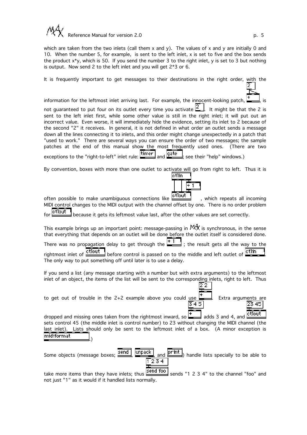

which are taken from the two inlets (call them x and y). The values of x and y are initially 0 and 10. When the number 5, for example, is sent to the left inlet, x is set to five and the box sends the product x\*y, which is 50. If you send the number 3 to the right inlet, y is set to 3 but nothing is output. Now send 2 to the left inlet and you will get  $2*3$  or 6.

It is frequently important to get messages to their destinations in the right order, with the

information for the leftmost inlet arriving last. For example, the innocent-looking patch,  $\mathbb{I}$  is not guaranteed to put four on its outlet every time you activate  $\Box$  It might be that the 2 is sent to the left inlet first, while some other value is still in the right inlet; it will put out an incorrect value. Even worse, it will immediately hide the evidence, setting its inlet to 2 because of the second "2" it receives. In general, it is not defined in what order an outlet sends a message down all the lines connecting it to inlets, and this order might change unexpectedly in a patch that "used to work." There are several ways you can ensure the order of two messages; the sample patches at the end of this manual show the most frequently used ones. (There are two exceptions to the "right-to-left" inlet rule: timer and gate ; see their "help" windows.)

By convention, boxes with more than one outlet to activate will go from right to left. Thus it is

| lin |  |  |
|-----|--|--|
|     |  |  |
|     |  |  |

22

often possible to make unambiguous connections like  $\frac{1}{2}$ , which repeats all incoming MIDI control changes to the MIDI output with the channel offset by one. There is no order problem

for **otlout** because it gets its leftmost value last, after the other values are set correctly.

This example brings up an important point: message-passing in  $M_A^4$  is synchronous, in the sense that everything that depends on an outlet will be done before the outlet itself is considered done.

There was no propagation delay to get through the  $\begin{bmatrix} +1 \\ -1 \end{bmatrix}$ ; the result gets all the way to the rightmost inlet of  $\frac{\text{ctlout}}{\text{other}}$  before control is passed on to the middle and left outlet of  $\frac{\text{ctlin}}{\text{other}}$ The only way to put something off until later is to use a delay.

If you send a list (any message starting with a number but with extra arguments) to the leftmost inlet of an object, the items of the list will be sent to the corresponding inlets, right to left. Thus

to get out of trouble in the 2+2 example above you could use  $\mathbb{R}$ . Extra arguments are  $\overline{3}$  45 23 45

letlout dropped and missing ones taken from the rightmost inward, so  $\Box$  adds 3 and 4, and sets control 45 (the middle inlet is control number) to 23 without changing the MIDI channel (the last inlet). Lists should only be sent to the leftmost inlet of a box. (A minor exception is midiformat .)



take more items than they have inlets; thus  $\frac{\text{send } \text{foo}}{\text{send}}$  sends "1 2 3 4" to the channel "foo" and not just "1" as it would if it handled lists normally.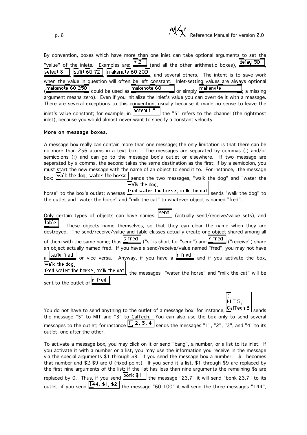p. 6 **Reference Manual for version 2.0** Reference Manual for version 2.0

MIT 5:

| By convention, boxes which have more than one inlet can take optional arguments to set the                                      |
|---------------------------------------------------------------------------------------------------------------------------------|
| "value" of the inlets. Examples are: $\frac{+2}{-}$ (and all the other arithmetic boxes), delay 50                              |
| select $\overline{3}$ split $\overline{60}$ 72 makenote $60$ 250 and several others. The intent is to save work                 |
| when the value in question will often be left constant. Inlet-setting values are always optional                                |
| (makenote 60 250 could be used as makenote 60 comply makenote and consisting a missing                                          |
| argument means zero). Even if you initialize the inlet's value you can override it with a message.                              |
| There are several exceptions to this convention, usually because it made no sense to leave the                                  |
| inlet's value constant; for example, in $\frac{\text{noteout } 5}{\text{noteust}}$ the "5" refers to the channel (the rightmost |
| inlet), because you would almost never want to specify a constant velocity.                                                     |

## More on message boxes.

A message box really can contain more than one message; the only limitation is that there can be no more than 256 atoms in a text box. The messages are separated by commas (,) and/or semicolons (;) and can go to the message box's outlet or elsewhere. If two message are separated by a comma, the second takes the same destination as the first; if by a semicolon, you must start the new message with the name of an object to send it to. For instance, the message box:  $\overline{\text{walk}}$  the dog, water the horse sends the two messages, "walk the dog" and "water the  $\overline{\text{walk}}$  the dog;

horse" to the box's outlet; whereas  $\frac{f_{\text{red}}}{f_{\text{red}}}$  water the horse, milk the cat sends "walk the dog" to the outlet and "water the horse" and "milk the cat" to whatever object is named "fred".

Only certain types of objects can have names:  $\boxed{\text{send}}$  (actually send/receive/value sets), and table These objects name themselves, so that they can clear the name when they are destroyed. The send/receive/value and table classes actually create one object shared among all of them with the same name; thus  $\frac{s \text{ fred}}{s}$  ("s" is short for "send") and  $\frac{r \text{ freq}}{s}$  ("receive") share an object actually named fred. If you have a send/receive/value named "fred", you may not have  $\tanh$   $\tanh$  or vice versa. Anyway, if you have a  $\tanh$  and if you activate the box,  $\overline{\mathsf{walk}}$  the dog; fred water the horse, milk the cat  $\vert$ , the messages "water the horse" and "milk the cat" will be sent to the outlet of **r** fred

You do not have to send anything to the outlet of a message box; for instance,  $\boxed{\text{CalTechni}}$  sends the message "5" to MIT and "3" to CalTech. You can also use the box only to send several messages to the outlet; for instance  $\left[\frac{1}{2}, \frac{3}{4}, \frac{4}{5}\right]$  sends the messages "1", "2", "3", and "4" to its outlet, one after the other.

To activate a message box, you may click on it or send "bang", a number, or a list to its inlet. If you activate it with a number or a list, you may use the information you receive in the message via the special arguments \$1 through \$9. If you send the message box a number, \$1 becomes that number and \$2-\$9 are 0 (fixed-point). If you send it a list, \$1 through \$9 are replaced by the first nine arguments of the list; if the list has less than nine arguments the remaining \$s are replaced by 0. Thus, if you send  $\frac{\text{Johnk } $1}_{\text{other}}$  the message "23.7" it will send "bonk 23.7" to its outlet; if you send  $\lfloor 144, 11, 12 \rfloor$  the message "60 100" it will send the three messages "144",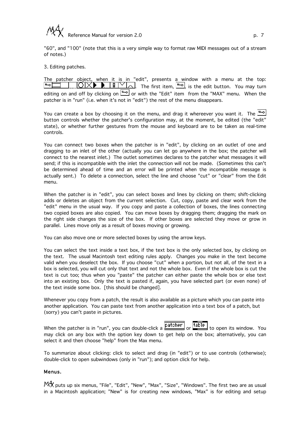

"60", and "100" (note that this is a very simple way to format raw MIDI messages out of a stream of notes.)

#### 3. Editing patches.

The patcher object, when it is in "edit", presents a window with a menu at the top:  $\overline{O}$   $\overline{X}$  **Fig.** The first item,  $\overline{O}$ , is the edit button. You may turn ⊺⊶ا editing on and off by clicking on  $\Box$  or with the "Edit" item from the "MAX" menu. When the patcher is in "run" (i.e. when it's not in "edit") the rest of the menu disappears.

You can create a box by choosing it on the menu, and drag it whereever you want it. The  $\Box$ button controls whether the patcher's configuration may, at the moment, be edited (the "edit" state), or whether further gestures from the mouse and keyboard are to be taken as real-time controls.

You can connect two boxes when the patcher is in "edit", by clicking on an outlet of one and dragging to an inlet of the other (actually you can let go anywhere in the box; the patcher will connect to the nearest inlet.) The outlet sometimes declares to the patcher what messages it will send; if this is incompatible with the inlet the connection will not be made. (Sometimes this can't be determined ahead of time and an error will be printed when the incompatible message is actually sent.) To delete a connection, select the line and choose "cut" or "clear" from the Edit menu.

When the patcher is in "edit", you can select boxes and lines by clicking on them; shift-clicking adds or deletes an object from the current selection. Cut, copy, paste and clear work from the "edit" menu in the usual way. If you copy and paste a collection of boxes, the lines connecting two copied boxes are also copied. You can move boxes by dragging them; dragging the mark on the right side changes the size of the box. If other boxes are selected they move or grow in parallel. Lines move only as a result of boxes moving or growing.

You can also move one or more selected boxes by using the arrow keys.

You can select the text inside a text box, if the text box is the only selected box, by clicking on the text. The usual Macintosh text editing rules apply. Changes you make in the text become valid when you deselect the box. If you choose "cut" when a portion, but not all, of the text in a box is selected, you will cut only that text and not the whole box. Even if the whole box is cut the text is cut too; thus when you "paste" the patcher can either paste the whole box or else text into an existing box. Only the text is pasted if, again, you have selected part (or even none) of the text inside some box. [this should be changed].

Whenever you copy from a patch, the result is also available as a picture which you can paste into another application. You can paste text from another application into a text box of a patch, but (sorry) you can't paste in pictures.

When the patcher is in "run", you can double-click a  $\boxed{\text{pattern}}$  or  $\boxed{\text{table}}$  to open its window. You may click on any box with the option key down to get help on the box; alternatively, you can select it and then choose "help" from the Max menu.

To summarize about clicking: click to select and drag (in "edit") or to use controls (otherwise); double-click to open subwindows (only in "run"); and option click for help.

#### Menus.

**MA** puts up six menus, "File", "Edit", "New", "Max", "Size", "Windows". The first two are as usual in a Macintosh application; "New" is for creating new windows, "Max" is for editing and setup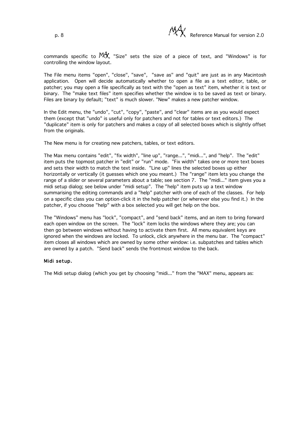

commands specific to  $M_A^4$ , "Size" sets the size of a piece of text, and "Windows" is for controlling the window layout.

The File menu items "open", "close", "save", "save as" and "quit" are just as in any Macintosh application. Open will decide automatically whether to open a file as a text editor, table, or patcher; you may open a file specifically as text with the "open as text" item, whether it is text or binary. The "make text files" item specifies whether the window is to be saved as text or binary. Files are binary by default; "text" is much slower. "New" makes a new patcher window.

In the Edit menu, the "undo", "cut", "copy", "paste", and "clear" items are as you would expect them (except that "undo" is useful only for patchers and not for tables or text editors.) The "duplicate" item is only for patchers and makes a copy of all selected boxes which is slightly offset from the originals.

The New menu is for creating new patchers, tables, or text editors.

The Max menu contains "edit", "fix width", "line up", "range...", "midi...", and "help". The "edit" item puts the topmost patcher in "edit" or "run" mode. "Fix width" takes one or more text boxes and sets their width to match the text inside. "Line up" lines the selected boxes up either horizontally or vertically (it guesses which one you meant.) The "range" item lets you change the range of a slider or several parameters about a table; see section 7. The "midi..." item gives you a midi setup dialog; see below under "midi setup". The "help" item puts up a text window summarising the editing commands and a "help" patcher with one of each of the classes. For help on a specific class you can option-click it in the help patcher (or wherever else you find it.) In the patcher, if you choose "help" with a box selected you will get help on the box.

The "Windows" menu has "lock", "compact", and "send back" items, and an item to bring forward each open window on the screen. The "lock" item locks the windows where they are; you can then go between windows without having to activate them first. All menu equivalent keys are ignored when the windows are locked. To unlock, click anywhere in the menu bar. The "compact" item closes all windows which are owned by some other window: i.e. subpatches and tables which are owned by a patch. "Send back" sends the frontmost window to the back.

#### Midi setup.

The Midi setup dialog (which you get by choosing "midi..." from the "MAX" menu, appears as: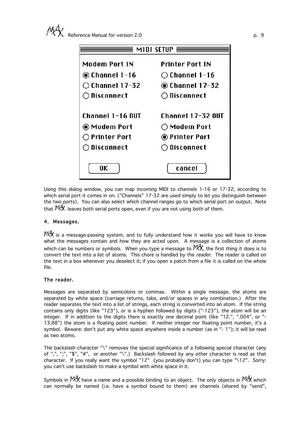| MIDI SETUP               |                         |  |  |  |  |  |
|--------------------------|-------------------------|--|--|--|--|--|
| Modem Port IN            | Printer Port IN         |  |  |  |  |  |
| ◉ Channel 1-16           | $\bigcirc$ Channel 1-16 |  |  |  |  |  |
| $\bigcirc$ Channel 17-32 | ◉ Channel 17-32         |  |  |  |  |  |
| $\bigcirc$ Disconnect    | $\bigcirc$ Disconnect   |  |  |  |  |  |
|                          |                         |  |  |  |  |  |
| Channel 1-16 OUT         | Channel 17-32 OUT       |  |  |  |  |  |
| ◉ Modem Port             | $\bigcirc$ Modem Port   |  |  |  |  |  |
| $\bigcirc$ Printer Port  | ◉ Printer Port          |  |  |  |  |  |
| $\bigcirc$ Disconnect    | $\bigcirc$ Disconnect   |  |  |  |  |  |
|                          |                         |  |  |  |  |  |
| 0K                       | cancel                  |  |  |  |  |  |

Using this dialog window, you can map incoming MIDI to channels 1-16 or 17-32, according to which serial port it comes in on. ("Channels" 17-32 are used simply to let you distinguish between the two ports). You can also select which channel ranges go to which serial port on output. Note that  $\mathbb{M}^4$  leaves both serial ports open, even if you are not using both of them.

## 4. Messages.

 $\mathbb{M}^4$  is a message-passing system, and to fully understand how it works you will have to know what the messages contain and how they are acted upon. A message is a collection of atoms which can be numbers or symbols. When you type a message to  $\mathbb{M}^4$ , the first thing it does is to convert the text into a list of atoms. This chore is handled by the *reader*. The reader is called on the text in a box whenever you deselect it; if you open a patch from a file it is called on the whole file.

## The reader.

Messages are separated by semicolons or commas. Within a single message, the atoms are separated by white space (carriage returns, tabs, and/or spaces in any combination.) After the reader separates the text into a list of strings, each string is converted into an atom. If the string contains only digits (like "123"), or is a hyphen followed by digits ("-123"), the atom will be an integer. If in addition to the digits there is exactly one decimal point (like "12.", ".004", or "- 13.88") the atom is a floating point number. If neither integer nor floating point number, it's a symbol. Beware: don't put any white space anywhere inside a number (as in "- 1"); it will be read as two atoms.

The backslash character "\" removes the special significance of a following special character (any of ",", ";", "\$", "#", or another "\".) Backslash followed by any other character is read as that character. If you really want the symbol "12" (you probably don't) you can type "\12". Sorry: you can't use backslash to make a symbol with white space in it.

Symbols in  $M^4$ , have a name and a possible binding to an object. The only objects in  $M^4$ , which can normally be named (i.e. have a symbol bound to them) are channels (shared by "send",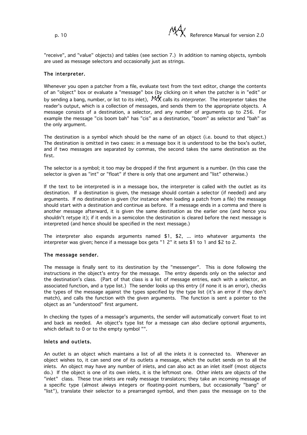"receive", and "value" objects) and tables (see section 7.) In addition to naming objects, symbols are used as message selectors and occasionally just as strings.

## The interpreter.

Whenever you open a patcher from a file, evaluate text from the text editor, change the contents of an "object" box or evaluate a "message" box (by clicking on it when the patcher is in "edit" or by sending a bang, number, or list to its inlet),  $\mathbb{M}^4$  calls its *interpreter*. The interpreter takes the reader's output, which is a collection of messages, and sends them to the appropriate objects. A message consists of a destination, a selector, and any number of arguments up to 256. For example the message "cis boom bah" has "cis" as a destination, "boom" as selector and "bah" as the only argument.

The destination is a symbol which should be the name of an object (i.e. bound to that object.) The destination is omitted in two cases: in a message box it is understood to be the box's outlet, and if two messages are separated by commas, the second takes the same destination as the first.

The selector is a symbol; it too may be dropped if the first argument is a number. (In this case the selector is given as "int" or "float" if there is only that one argument and "list" otherwise.)

If the text to be interpreted is in a message box, the interpreter is called with the outlet as its destination. If a destination is given, the message should contain a selector (if needed) and any arguments. If no destination is given (for instance when loading a patch from a file) the message should start with a destination and continue as before. If a message ends in a comma and there is another message afterward, it is given the same destination as the earlier one (and hence you shouldn't retype it); if it ends in a semicolon the destination is cleared before the next message is interpreted (and hence should be specified in the next message.)

The interpreter also expands arguments named \$1, \$2, ... into whatever arguments the interpreter was given; hence if a message box gets "1 2" it sets \$1 to 1 and \$2 to 2.

#### The message sender.

The message is finally sent to its destination by the "messenger". This is done following the instructions in the object's entry for the message. The entry depends only on the selector and the destination's class. (Part of that class is a list of message entries, each with a selector, an associated function, and a type list.) The sender looks up this entry (if none it is an error), checks the types of the message against the types specified by the type list (it's an error if they don't match), and calls the function with the given arguments. The function is sent a pointer to the object as an "understood" first argument.

In checking the types of a message's arguments, the sender will automatically convert float to int and back as needed. An object's type list for a message can also declare optional arguments, which default to 0 or to the empty symbol "".

#### Inlets and outlets.

An outlet is an object which maintains a list of all the inlets it is connected to. Whenever an object wishes to, it can send one of its outlets a message, which the outlet sends on to all the inlets. An object may have any number of inlets, and can also act as an inlet itself (most objects do.) If the object is one of its own inlets, it is the leftmost one. Other inlets are objects of the "inlet" class. These true inlets are really message translators; they take an incoming message of a specific type (almost always integers or floating-point numbers, but occasionally "bang" or "list"), translate their selector to a prearranged symbol, and then pass the message on to the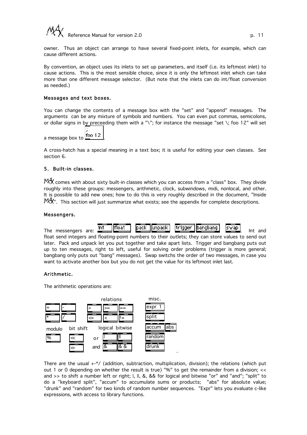

owner. Thus an object can arrange to have several fixed-point inlets, for example, which can cause different actions.

By convention, an object uses its inlets to set up parameters, and itself (i.e. its leftmost inlet) to cause actions. This is the most sensible choice, since it is only the leftmost inlet which can take more than one different message selector. (But note that the inlets can do int/float conversion as needed.)

#### Messages and text boxes.

You can change the contents of a message box with the "set" and "append" messages. The arguments can be any mixture of symbols and numbers. You can even put commas, semicolons, or dollar signs in by preceeding them with a "\"; for instance the message "set \; foo 12" will set

a message box to <u>foo 12</u>

A cross-hatch has a special meaning in a text box; it is useful for editing your own classes. See section 6.

#### 5. Built-in classes.

MAX comes with about sixty built-in classes which you can access from a "class" box. They divide roughly into these groups: messengers, arithmetic, clock, subwindows, midi, nonlocal, and other. It is possible to add new ones; how to do this is very roughly described in the document, "Inside  $^{\text{M}}\!A^{\prime\prime}$ . This section will just summarize what exists; see the appendix for complete descriptions.

#### Messengers.



float send integers and floating-point numbers to their outlets; they can store values to send out later. Pack and unpack let you put together and take apart lists. Trigger and bangbang puts out up to ten messages, right to left, useful for solving order problems (trigger is more general; bangbang only puts out "bang" messages). Swap switchs the order of two messages, in case you want to activate another box but you do not get the value for its leftmost inlet last.

#### Arithmetic.

The arithmetic operations are:



There are the usual  $++$  (addition, subtraction, multiplication, division); the relations (which put out 1 or 0 depending on whether the result is true) "%" to get the remainder from a division; << and >> to shift a number left or right; I, II, &, && for logical and bitwise "or" and "and"; "split" to do a "keyboard split", "accum" to accumulate sums or products; "abs" for absolute value; "drunk" and "random" for two kinds of random number sequences. "Expr" lets you evaluate c-like expressions, with access to library functions.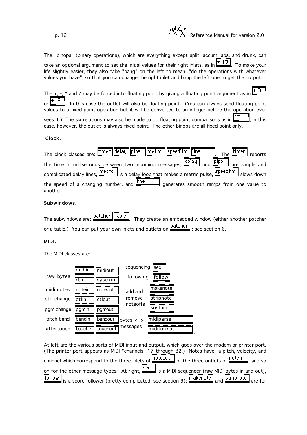p. 12 **Participal in the Contract of Contract Participal in the Contract Participal in the Reference Manual for version 2.0** 

The "binops" (binary operations), which are everything except split, accum, abs, and drunk, can take an optional argument to set the initial values for their right inlets, as in  $\frac{+15}{-15}$  To make your life slightly easier, they also take "bang" on the left to mean, "do the operations with whatever values you have", so that you can change the right inlet and bang the left one to get the output.

The  $+$ ,  $-$ ,  $*$  and / may be forced into floating point by giving a floating point argument as in  $+$  0. or  $\Box$  In this case the outlet will also be floating point. (You can always send floating point values to a fixed-point operation but it will be converted to an integer before the operation ever

sees it.) The six relations may also be made to do floating point comparisons as in  $\geq 0$ .  $\geq$  in this case, however, the outlet is always fixed-point. The other binops are all fixed point only.

## Clock.

| The clock classes are: timer delay pipe metro speedlim line The timer reports                                              |
|----------------------------------------------------------------------------------------------------------------------------|
| the time in milliseconds between two incoming messages; delay and <b>Pipe</b> are simple and                               |
| complicated delay lines, metro is a delay loop that makes a metric pulse, speedlim slows down                              |
| the speed of a changing number, and $\frac{\text{line}}{\text{line}}$ generates smooth ramps from one value to<br>another. |

## Subwindows.

The subwindows are:  $\frac{\text{pattern}}{\text{table}}$  They create an embedded window (either another patcher or a table.) You can put your own inlets and outlets on  $\boxed{\text{pattern}}$ ; see section 6.

## MIDI.

The MIDI classes are:



At left are the various sorts of MIDI input and output, which goes over the modem or printer port. (The printer port appears as MIDI "channels" 17 through 32.) Notes have a pitch, velocity, and channel which correspond to the three inlets of **noteout** or the three outlets of **notein**, and so on for the other message types. At right,  $\frac{seq}{seq}$  is a MIDI sequencer (raw MIDI bytes in and out), follow is a score follower (pretty complicated; see section 9);  $\boxed{\frac{\text{makenote}}{\text{and}}\text{artipnote}}$  are for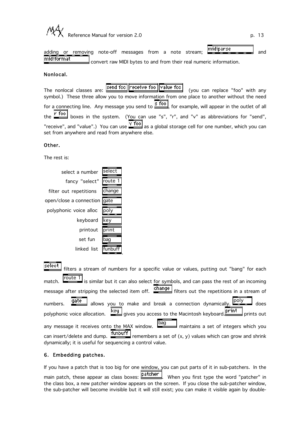

adding or removing note-off messages from a note stream; midiparse midiformat convert raw MIDI bytes to and from their real numeric information.

## Nonlocal.

The nonlocal classes are: **Send foo receive foo value foo** (you can replace "foo" with any symbol.) These three allow you to move information from one place to another without the need for a connecting line. Any message you send to  $\frac{s \text{ fool}}{s}$ , for example, will appear in the outlet of all the  $\frac{r \text{ } \text{foo}}{r \text{ } \text{boxes}}$  in the system. (You can use "s", "r", and "v" as abbreviations for "send", "receive", and "value".) You can use  $\sqrt{\frac{v \cdot f}{c}}$  as a global storage cell for one number, which you can set from anywhere and read from anywhere else.

## Other.

The rest is:

| select a number         | select |
|-------------------------|--------|
| fancy "select"          | route  |
| filter out repetitions  | change |
| open/close a connection | gate   |
| polyphonic voice alloc  | lpolv  |
| keyboard                | key    |
| printout                | print  |
| set fun                 | bao    |
| linked list             | funl   |

| select filters a stream of numbers for a specific value or values, putting out "bang" for each                      |
|---------------------------------------------------------------------------------------------------------------------|
| match. $\boxed{\text{route 1}}$ is similar but it can also select for symbols, and can pass the rest of an incoming |
| message after stripping the selected item off. change filters out the repetitions in a stream of                    |
| numbers. <b>gate</b> allows you to make and break a connection dynamically. <b>poly</b> does                        |
| polyphonic voice allocation. <b>Key</b> gives you access to the Macintosh keyboard. <b>Print</b> prints out         |
|                                                                                                                     |
| can insert/delete and dump. $\frac{fumbuff}{f$ remembers a set of $(x, y)$ values which can grow and shrink         |
| dynamically; it is useful for sequencing a control value.                                                           |

.

## 6. Embedding patches.

If you have a patch that is too big for one window, you can put parts of it in sub-patchers. In the main patch, these appear as class boxes: **patcher** . When you first type the word "patcher" in the class box, a new patcher window appears on the screen. If you close the sub-patcher window, the sub-patcher will become invisible but it will still exist; you can make it visible again by double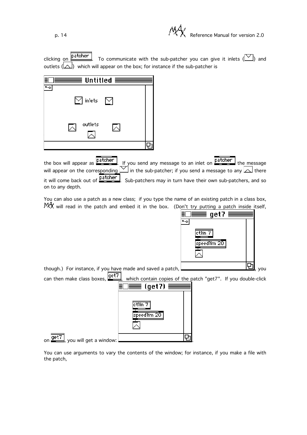p. 14 **Participal in the contract of**  $P(X)$  Reference Manual for version 2.0

aet7

|  | clicking on <b>patcher</b> To communicate with the sub-patcher you can give it inlets $(\Box)$ and |  |  |  |  |  |
|--|----------------------------------------------------------------------------------------------------|--|--|--|--|--|
|  | outlets $(\Box)$ which will appear on the box; for instance if the sub-patcher is                  |  |  |  |  |  |

| $\equiv$ Untitled $\equiv$ |  |
|----------------------------|--|
| $\bowtie$ inlets i<br>M    |  |
| outlets                    |  |
|                            |  |

the box will appear as **patcher** . If you send any message to an inlet on **patcher** the message will appear on the corresponding  $\boxdot$  in the sub-patcher; if you send a message to any  $\Box$  there it will come back out of **Patcher** Sub-patchers may in turn have their own sub-patchers, and so on to any depth.

You can also use a patch as a new class; if you type the name of an existing patch in a class box,  $M_A^4$  will read in the patch and embed it in the box. (Don't try putting a patch inside itself,

t



You can use arguments to vary the contents of the window; for instance, if you make a file with the patch,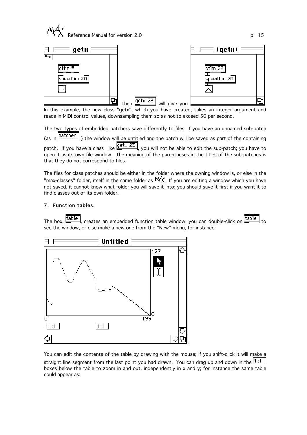



In this example, the new class "getx", which you have created, takes an integer argument and reads in MIDI control values, downsampling them so as not to exceed 50 per second.

The two types of embedded patchers save differently to files; if you have an unnamed sub-patch  $\frac{1}{2}$  (as in  $\frac{1}{2}$  atcher ) the window will be untitled and the natch will be saved as nart of the containing  $\vert$ ) the window will be untitled and the patch will be saved as part of the containing patch. If you have a class like  $\frac{\text{get} \times 23}{\text{get} \times 23}$ , you will not be able to edit the sub-patch; you have to open it as its own file-window. The meaning of the parentheses in the titles of the sub-patches is that they do not correspond to files.

The files for class patches should be either in the folder where the owning window is, or else in the "max-classes" folder, itself in the same folder as  $144$ . If you are editing a window which you have not saved, it cannot know what folder you will save it into; you should save it first if you want it to find classes out of its own folder.

## 7. Function tables.

The box,  $\frac{\text{table}}{\text{table}}$ , creates an embedded function table window; you can double-click on  $\frac{\text{table}}{\text{table}}$  to see the window, or else make a new one from the "New" menu, for instance:



You can edit the contents of the table by drawing with the mouse; if you shift-click it will make a straight line segment from the last point you had drawn. You can drag up and down in the  $\boxed{1:1}$ boxes below the table to zoom in and out, independently in x and y; for instance the same table could appear as: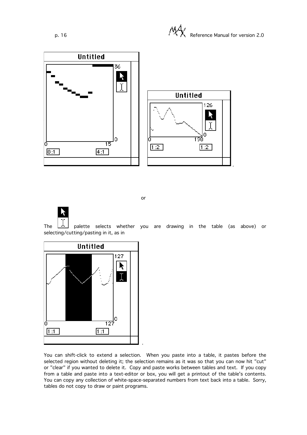

or

The  $\lfloor \frac{1}{2} \rfloor$  palette selects whether you are drawing in the table (as above) or selecting/cutting/pasting in it, as in



You can shift-click to extend a selection. When you paste into a table, it pastes before the selected region without deleting it; the selection remains as it was so that you can now hit "cut" or "clear" if you wanted to delete it. Copy and paste works between tables and text. If you copy from a table and paste into a text-editor or box, you will get a printout of the table's contents. You can copy any collection of white-space-separated numbers from text back into a table. Sorry, tables do not copy to draw or paint programs.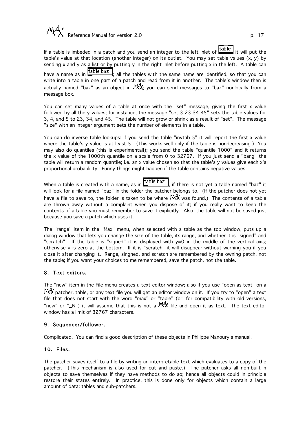

If a table is imbeded in a patch and you send an integer to the left inlet of  $\frac{\text{table}}{\text{time}}$  it will put the table's value at that location (another integer) on its outlet. You may set table values (x, y) by sending x and y as a list or by putting y in the right inlet before putting x in the left. A table can<br>have a name as in  $\frac{\text{table bar}}{\text{table bar}}$ , all the tables with the same name are identified. So that you can  $\vert$ ; all the tables with the same name are identified, so that you can write into a table in one part of a patch and read from it in another. The table's window then is actually named "baz" as an object in  $\mathcal{M}$ , you can send messages to "baz" nonlocally from a message box.

You can set many values of a table at once with the "set" message, giving the first x value followed by all the y values; for instance, the message "set 3 23 34 45" sets the table values for 3, 4, and 5 to 23, 34, and 45. The table will not grow or shrink as a result of "set". The message "size" with an integer argument sets the number of elements in a table.

You can do inverse table lookups: if you send the table "invtab 5" it will report the first x value where the table's y value is at least 5. (This works well only if the table is nondecreasing.) You may also do quantiles (this is experimental!); you send the table "quantile 1000" and it returns the x value of the 1000th quantile on a scale from 0 to 32767. If you just send a "bang" the table will return a random quantile; i.e. an x value chosen so that the table's y values give each x's proportional probablility. Funny things might happen if the table contains negative values.

When a table is created with a name, as in  $\frac{1}{1}$  table baz. if there is not yet a table named "baz" it will look for a file named "baz" in the folder the patcher belongs to. (If the patcher does not yet have a file to save to, the folder is taken to be where  $\mathbb{M}^4$  was found.) The contents of a table are thrown away without a complaint when you dispose of it; if you really want to keep the contents of a table you must remember to save it explicitly. Also, the table will not be saved just because you save a patch which uses it.

The "range" item in the "Max" menu, when selected with a table as the top window, puts up a dialog window that lets you change the size of the table, its range, and whether it is "signed" and "scratch". If the table is "signed" it is displayed with y=0 in the middle of the vertical axis; otherwise y is zero at the bottom. If it is "scratch" it will disappear without warning you if you close it after changing it. Range, singned, and scratch are remembered by the owning patch, not the table; if you want your choices to me remembered, save the patch, not the table.

## 8. Text editors.

The "new" item in the File menu creates a text-editor window; also if you use "open as text" on a htt, patcher, table, or any text file you will get an editor window on it. If you try to "open" a text file that does not start with the word "max" or "table" (or, for compatibility with old versions, "new" or " N") it will assume that this is not a  $M_X^4$  file and open it as text. The text editor window has a limit of 32767 characters.

#### 9. Sequencer/follower.

Complicated. You can find a good description of these objects in Philippe Manoury's manual.

#### 10. Files.

The patcher saves itself to a file by writing an interpretable text which evaluates to a copy of the patcher. (This mechanism is also used for cut and paste.) The patcher asks all non-built-in objects to save themselves if they have methods to do so; hence all objects could in principle restore their states entirely. In practice, this is done only for objects which contain a large amount of data: tables and sub-patchers.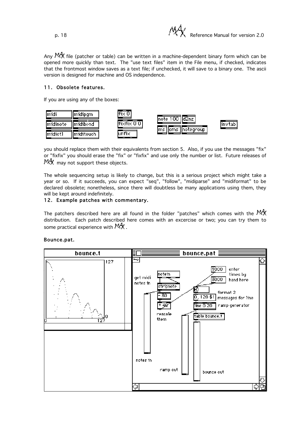$\mathcal{P}$ ,  $\mathcal{P}$ ,  $\mathcal{P}$ ,  $\mathcal{P}$ , Reference Manual for version 2.0

Any  $\mathbb{M}^4$  file (patcher or table) can be written in a machine-dependent binary form which can be opened more quickly than text. The "use text files" item in the File menu, if checked, indicates that the frontmost window saves as a text file; if unchecked, it will save to a binary one. The ascii version is designed for machine and OS independence.

## 11. Obsolete features.

If you are using any of the boxes:



you should replace them with their equivalents from section 5. Also, if you use the messages "fix" or "fixfix" you should erase the "fix" or "fixfix" and use only the number or list. Future releases of  $M_A^4$  may not support these objects.

The whole sequencing setup is likely to change, but this is a serious project which might take a year or so. If it succeeds, you can expect "seq", "follow", "midiparse" and "midiformat" to be declared obsolete; nonetheless, since there will doubtless be many applications using them, they will be kept around indefinitely.

## 12. Example patches with commentary.

The patchers described here are all found in the folder "patches" which comes with the  $\mathbb{M}^4$ distribution. Each patch described here comes with an excercise or two; you can try them to some practical experience with  $M_X$ .

## Bounce.pat.

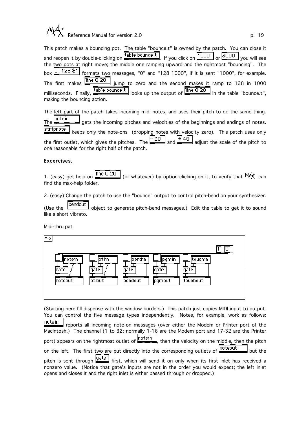

This patch makes a bouncing pot. The table "bounce.t" is owned by the patch. You can close it and reopen it by double-clicking on  $\frac{\text{table bounce.t}}{\text{If you click on}} \frac{1000}{\text{or}} \text{or}}$  or  $\frac{3000}{\text{you will see}}$ the two pots at right move; the middle one ramping upward and the rightmost "bouncing". The box  $\overline{0}$ , 128 \$1 formats two messages, "0" and "128 1000", if it is sent "1000", for example. The first makes  $\frac{\text{line }0.20}{\text{line}}$  jump to zero and the second makes it ramp to 128 in 1000 milliseconds. Finally,  $\frac{1}{2}$  table bounce.t | looks up the output of  $\frac{1}{2}$  in the table "bounce.t", making the bouncing action.

The left part of the patch takes incoming midi notes, and uses their pitch to do the same thing. The **Inotein**<br>The **Getal and sets the incoming pitches and velocities of the beginnings and endings of notes.** stripnote keeps only the note-ons (dropping notes with velocity zero). This patch uses only<br>let, which gives the pitches. The  $\frac{-30}{1}$  and  $\frac{120}{12}$  adjust the scale of the pitch to the first outlet, which gives the pitches. The  $\frac{-30}{2}$  and  $\frac{40}{2}$  adjust the scale of the pitch to one reasonable for the right half of the patch.

#### Excercises.

1. (easy) get help on  $\frac{\text{line 0 20}}{\text{line 0 20}}$  (or whatever) by option-clicking on it, to verify that  $\mathbb{M}^4$  can find the max-help folder.

2. (easy) Change the patch to use the "bounce" output to control pitch-bend on your synthesizer.

(Use the **bendout** object to generate pitch-bend messages.) Edit the table to get it to sound like a short vibrato.

Midi-thru.pat.



(Starting here I'll dispense with the window borders.) This patch just copies MIDI input to output. You can control the five message types independently. Notes, for example, work as follows: notein

 reports all incoming note-on messages (over either the Modem or Printer port of the MacIntosh.) The channel (1 to 32; normally 1-16 are the Modem port and 17-32 are the Printer port) appears on the rightmost outlet of  $\frac{\text{not} \cdot \text{not}}{\text{not}}$ , then the velocity on the middle, then the pitch on the left. The first two are put directly into the corresponding outlets of **noteout** but the pitch is sent through **gate** first, which will send it on only when its first inlet has received a nonzero value. (Notice that gate's inputs are not in the order you would expect; the left inlet opens and closes it and the right inlet is either passed through or dropped.)